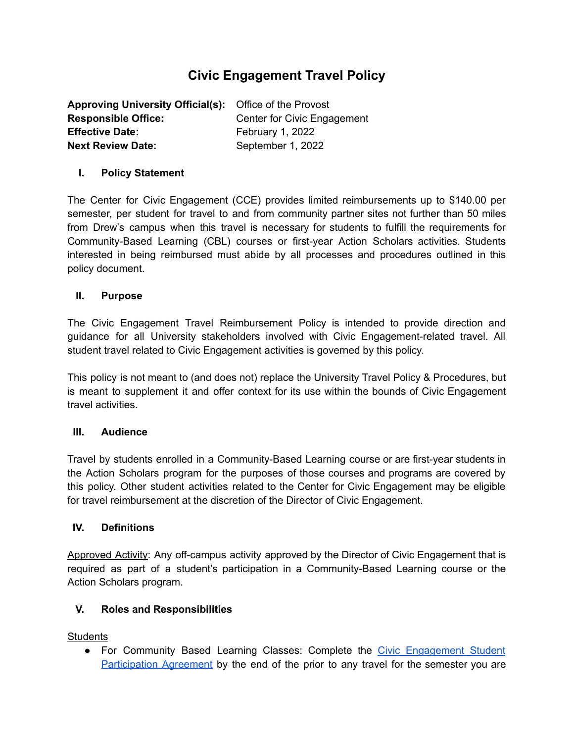# **Civic Engagement Travel Policy**

| <b>Approving University Official(s):</b> Office of the Provost |                             |
|----------------------------------------------------------------|-----------------------------|
| <b>Responsible Office:</b>                                     | Center for Civic Engagement |
| <b>Effective Date:</b>                                         | February 1, 2022            |
| <b>Next Review Date:</b>                                       | September 1, 2022           |

# **I. Policy Statement**

The Center for Civic Engagement (CCE) provides limited reimbursements up to \$140.00 per semester, per student for travel to and from community partner sites not further than 50 miles from Drew's campus when this travel is necessary for students to fulfill the requirements for Community-Based Learning (CBL) courses or first-year Action Scholars activities. Students interested in being reimbursed must abide by all processes and procedures outlined in this policy document.

## **II. Purpose**

The Civic Engagement Travel Reimbursement Policy is intended to provide direction and guidance for all University stakeholders involved with Civic Engagement-related travel. All student travel related to Civic Engagement activities is governed by this policy.

This policy is not meant to (and does not) replace the University Travel Policy & Procedures, but is meant to supplement it and offer context for its use within the bounds of Civic Engagement travel activities.

## **III. Audience**

Travel by students enrolled in a Community-Based Learning course or are first-year students in the Action Scholars program for the purposes of those courses and programs are covered by this policy. Other student activities related to the Center for Civic Engagement may be eligible for travel reimbursement at the discretion of the Director of Civic Engagement.

## **IV. Definitions**

Approved Activity: Any off-campus activity approved by the Director of Civic Engagement that is required as part of a student's participation in a Community-Based Learning course or the Action Scholars program.

# **V. Roles and Responsibilities**

**Students** 

• For Community Based Learning Classes: Complete the Civic [Engagement](https://docs.google.com/forms/d/e/1FAIpQLScYY_iGJVDQ1_8hH98QJN23etPRuATpg4mnOg86xwetUJhusw/viewform) Student [Participation](https://docs.google.com/forms/d/e/1FAIpQLScYY_iGJVDQ1_8hH98QJN23etPRuATpg4mnOg86xwetUJhusw/viewform) Agreement by the end of the prior to any travel for the semester you are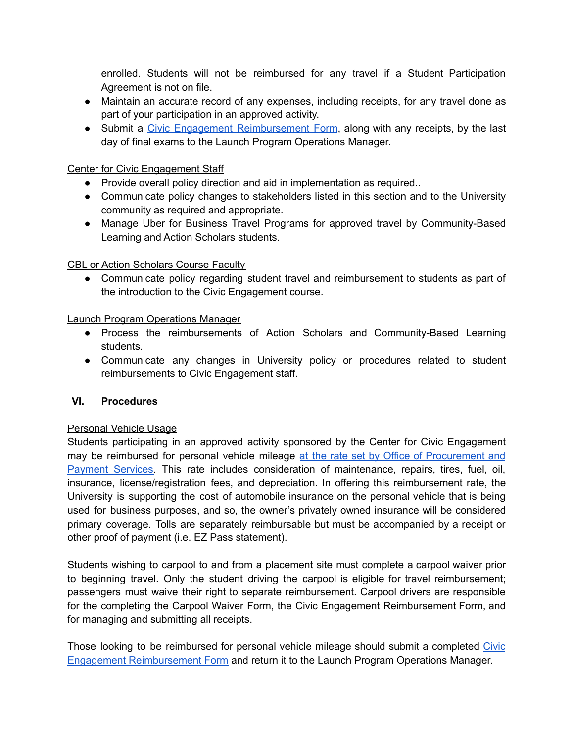enrolled. Students will not be reimbursed for any travel if a Student Participation Agreement is not on file.

- Maintain an accurate record of any expenses, including receipts, for any travel done as part of your participation in an approved activity.
- Submit a Civic Engagement [Reimbursement](http://drew.edu/civic-engagement/wp-content/uploads/sites/92/2022/02/Student-Travel-Reimbursement-Form-2022.xlsx) Form, along with any receipts, by the last day of final exams to the Launch Program Operations Manager.

# Center for Civic Engagement Staff

- Provide overall policy direction and aid in implementation as required..
- Communicate policy changes to stakeholders listed in this section and to the University community as required and appropriate.
- Manage Uber for Business Travel Programs for approved travel by Community-Based Learning and Action Scholars students.

## CBL or Action Scholars Course Faculty

● Communicate policy regarding student travel and reimbursement to students as part of the introduction to the Civic Engagement course.

## Launch Program Operations Manager

- Process the reimbursements of Action Scholars and Community-Based Learning students.
- Communicate any changes in University policy or procedures related to student reimbursements to Civic Engagement staff.

# **VI. Procedures**

## Personal Vehicle Usage

Students participating in an approved activity sponsored by the Center for Civic Engagement may be reimbursed for personal vehicle mileage at the rate set by Office of [Procurement](https://www.drew.edu/university-finance/about-us/procurement/travel-policy-and-procedures/) and [Payment](https://www.drew.edu/university-finance/about-us/procurement/travel-policy-and-procedures/) Services. This rate includes consideration of maintenance, repairs, tires, fuel, oil, insurance, license/registration fees, and depreciation. In offering this reimbursement rate, the University is supporting the cost of automobile insurance on the personal vehicle that is being used for business purposes, and so, the owner's privately owned insurance will be considered primary coverage. Tolls are separately reimbursable but must be accompanied by a receipt or other proof of payment (i.e. EZ Pass statement).

Students wishing to carpool to and from a placement site must complete a carpool waiver prior to beginning travel. Only the student driving the carpool is eligible for travel reimbursement; passengers must waive their right to separate reimbursement. Carpool drivers are responsible for the completing the Carpool Waiver Form, the Civic Engagement Reimbursement Form, and for managing and submitting all receipts.

Those looking to be reimbursed for personal vehicle mileage should submit a completed [Civic](http://drew.edu/civic-engagement/wp-content/uploads/sites/92/2022/02/Student-Travel-Reimbursement-Form-2022.xlsx) Engagement [Reimbursement](http://drew.edu/civic-engagement/wp-content/uploads/sites/92/2022/02/Student-Travel-Reimbursement-Form-2022.xlsx) Form and return it to the Launch Program Operations Manager.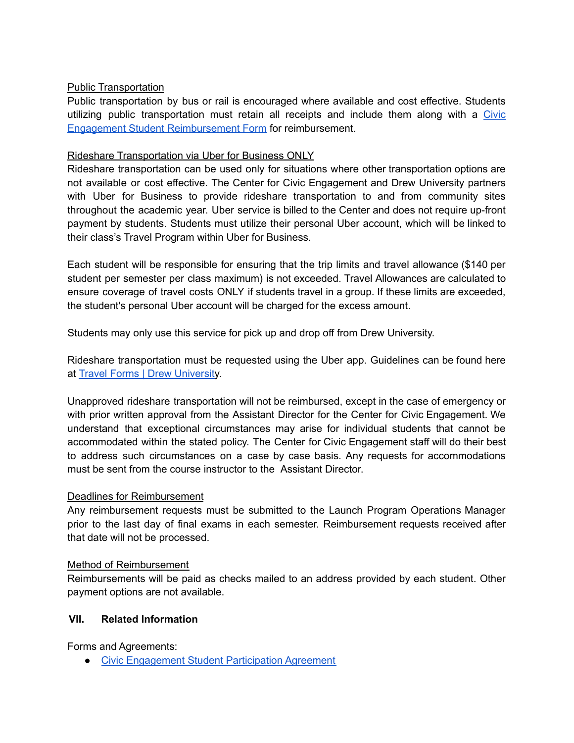## Public Transportation

Public transportation by bus or rail is encouraged where available and cost effective. Students utilizing public transportation must retain all receipts and include them along with a [Civic](http://drew.edu/civic-engagement/wp-content/uploads/sites/92/2022/02/Student-Travel-Reimbursement-Form-2022.xlsx) Engagement Student [Reimbursement](http://drew.edu/civic-engagement/wp-content/uploads/sites/92/2022/02/Student-Travel-Reimbursement-Form-2022.xlsx) Form for reimbursement.

# Rideshare Transportation via Uber for Business ONLY

Rideshare transportation can be used only for situations where other transportation options are not available or cost effective. The Center for Civic Engagement and Drew University partners with Uber for Business to provide rideshare transportation to and from community sites throughout the academic year. Uber service is billed to the Center and does not require up-front payment by students. Students must utilize their personal Uber account, which will be linked to their class's Travel Program within Uber for Business.

Each student will be responsible for ensuring that the trip limits and travel allowance (\$140 per student per semester per class maximum) is not exceeded. Travel Allowances are calculated to ensure coverage of travel costs ONLY if students travel in a group. If these limits are exceeded, the student's personal Uber account will be charged for the excess amount.

Students may only use this service for pick up and drop off from Drew University.

Rideshare transportation must be requested using the Uber app. Guidelines can be found here at Travel Forms | Drew [University](https://drew.edu/civic-engagement/about-us/travel-forms/).

Unapproved rideshare transportation will not be reimbursed, except in the case of emergency or with prior written approval from the Assistant Director for the Center for Civic Engagement. We understand that exceptional circumstances may arise for individual students that cannot be accommodated within the stated policy. The Center for Civic Engagement staff will do their best to address such circumstances on a case by case basis. Any requests for accommodations must be sent from the course instructor to the Assistant Director.

## Deadlines for Reimbursement

Any reimbursement requests must be submitted to the Launch Program Operations Manager prior to the last day of final exams in each semester. Reimbursement requests received after that date will not be processed.

## Method of Reimbursement

Reimbursements will be paid as checks mailed to an address provided by each student. Other payment options are not available.

## **VII. Related Information**

Forms and Agreements:

● Civic [Engagement](https://docs.google.com/forms/d/e/1FAIpQLScYY_iGJVDQ1_8hH98QJN23etPRuATpg4mnOg86xwetUJhusw/viewform) Student Participation Agreement